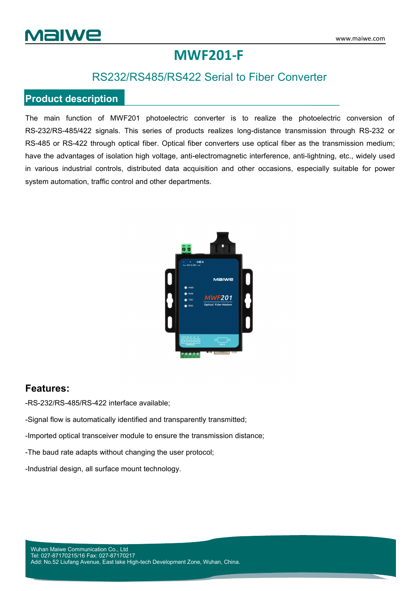

## **MWF201-F**

### RS232/RS485/RS422 Serial to Fiber Converter

#### **Product description**

The main function of MWF201 photoelectric converter is to realize the photoelectric conversion of RS-232/RS-485/422 signals. This series of products realizes long-distance transmission through RS-232 or RS-485 or RS-422 through optical fiber. Optical fiber converters use optical fiber as the transmission medium; have the advantages of isolation high voltage, anti-electromagnetic interference, anti-lightning, etc., widely used in various industrial controls, distributed data acquisition and other occasions, especially suitable for power system automation, traffic control and other departments.



#### **Features:**

-RS-232/RS-485/RS-422 interface available;

-Signal flow is automatically identified and transparently transmitted;

-Imported optical transceiver module to ensure the transmission distance;

-The baud rate adapts without changing the user protocol;

-Industrial design, all surface mount technology.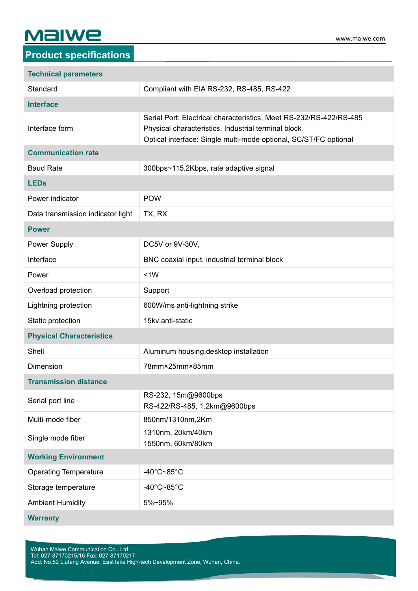# **Malwe**

| <b>Technical parameters</b>       |                                                                                                                                                                                               |  |  |
|-----------------------------------|-----------------------------------------------------------------------------------------------------------------------------------------------------------------------------------------------|--|--|
| Standard                          | Compliant with EIA RS-232, RS-485, RS-422                                                                                                                                                     |  |  |
| <b>Interface</b>                  |                                                                                                                                                                                               |  |  |
| Interface form                    | Serial Port: Electrical characteristics, Meet RS-232/RS-422/RS-485<br>Physical characteristics, Industrial terminal block<br>Optical interface: Single multi-mode optional, SC/ST/FC optional |  |  |
| <b>Communication rate</b>         |                                                                                                                                                                                               |  |  |
| <b>Baud Rate</b>                  | 300bps~115.2Kbps, rate adaptive signal                                                                                                                                                        |  |  |
| <b>LEDs</b>                       |                                                                                                                                                                                               |  |  |
| Power indicator                   | <b>POW</b>                                                                                                                                                                                    |  |  |
| Data transmission indicator light | TX, RX                                                                                                                                                                                        |  |  |
| <b>Power</b>                      |                                                                                                                                                                                               |  |  |
| Power Supply                      | DC5V or 9V-30V,                                                                                                                                                                               |  |  |
| Interface                         | BNC coaxial input, industrial terminal block                                                                                                                                                  |  |  |
| Power                             | <1W                                                                                                                                                                                           |  |  |
| Overload protection               | Support                                                                                                                                                                                       |  |  |
| Lightning protection              | 600W/ms anti-lightning strike                                                                                                                                                                 |  |  |
| Static protection                 | 15kv anti-static                                                                                                                                                                              |  |  |
| <b>Physical Characteristics</b>   |                                                                                                                                                                                               |  |  |
| Shell                             | Aluminum housing, desktop installation                                                                                                                                                        |  |  |
| <b>Dimension</b>                  | 78mm×25mm×85mm                                                                                                                                                                                |  |  |
| <b>Transmission distance</b>      |                                                                                                                                                                                               |  |  |
| Serial port line                  | RS-232, 15m@9600bps<br>RS-422/RS-485, 1.2km@9600bps                                                                                                                                           |  |  |
| Multi-mode fiber                  | 850nm/1310nm,2Km                                                                                                                                                                              |  |  |
| Single mode fiber                 | 1310nm, 20km/40km<br>1550nm, 60km/80km                                                                                                                                                        |  |  |
| <b>Working Environment</b>        |                                                                                                                                                                                               |  |  |
| <b>Operating Temperature</b>      | -40°C~85°C                                                                                                                                                                                    |  |  |
| Storage temperature               | -40 $^{\circ}$ C~85 $^{\circ}$ C                                                                                                                                                              |  |  |
| <b>Ambient Humidity</b>           | 5%~95%                                                                                                                                                                                        |  |  |
| <b>Warranty</b>                   |                                                                                                                                                                                               |  |  |

Wuhan Maiwe Communication Co., Ltd Tel: 027-87170215/16 Fax: 027-87170217 Add: No.52 Liufang Avenue, East lake High-tech Development Zone, Wuhan, China.